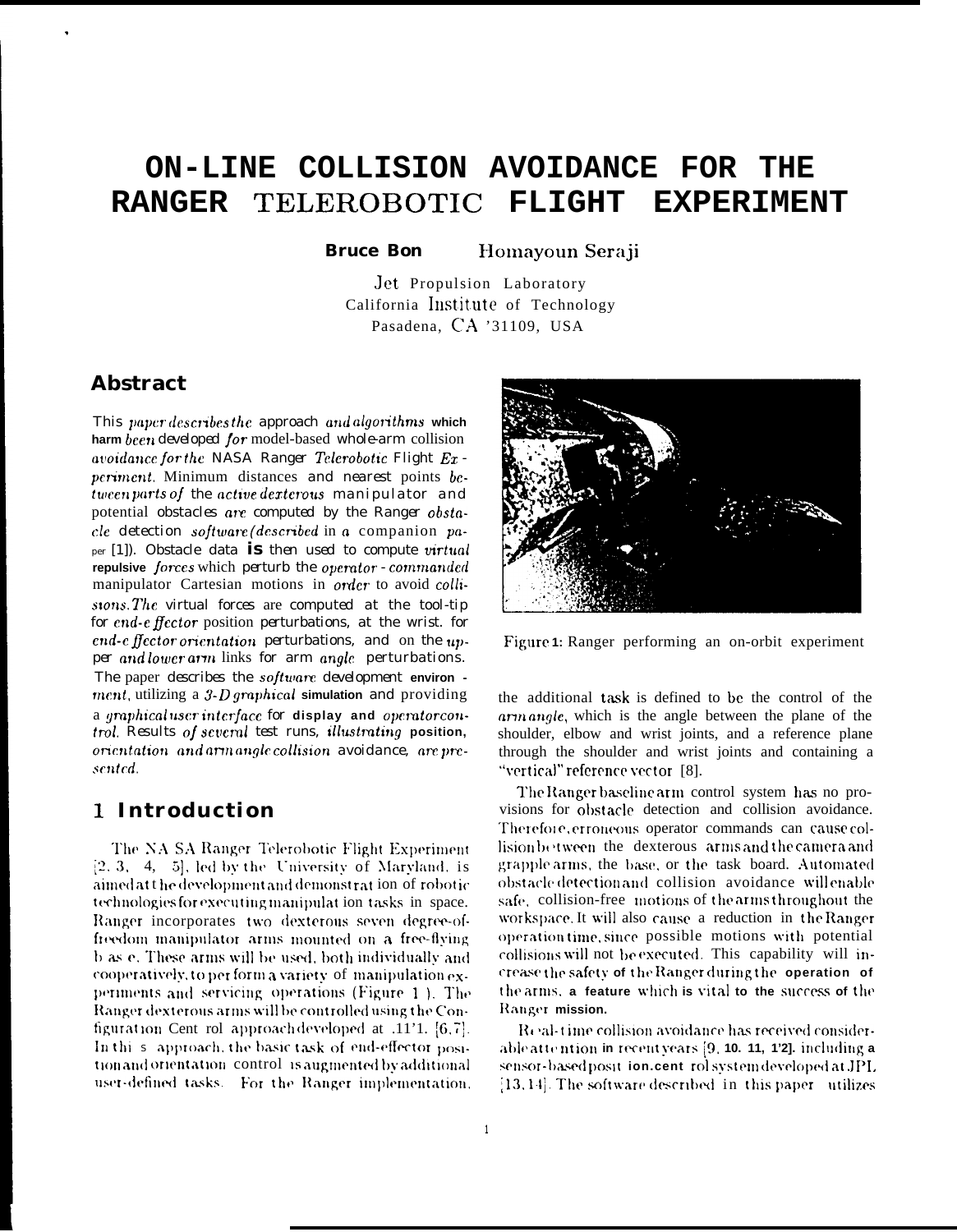### ON-LINE COLLISION AVOIDANCE FOR THE RANGER TELEROBOTIC **FLIGHT EXPERIMENT**

**Bruce Bon** Homayoun Seraji

Jet Propulsion Laboratory California Institute of Technology Pasadena, CA '31109, USA

### **Abstract**

This paper describes the approach and algorithms which harm been developed for model-based whole-arm collision avoidance for the NASA Ranger Telerobotic Flight Experiment. Minimum distances and nearest points between parts of the active dexterous manipulator and potential *obstacles* are *computed by the Ranger obsta*cle detection software (described in a companion paper  $(1)$ ). Obstacle data is then used to compute virtual repulsive forces which perturb the operator - commanded manipulator Cartesian motions in order to avoid collistons. The virtual forces are computed at the tool-tip for end-effector position perturbations, at the wrist. for end-e flector orientation perturbations, and on the upper and lower arm links for arm angle perturbations. The paper describes the software development environ ment, utilizing a 3-D graphical simulation and providing a graphicaluser interface for display and operator control. Results of several test runs, illustrating position, orientation and arm angle collision avoidance, are presented.

## 1 Introduction

The NA SA Ranger Telerobotic Flight Experiment  $[2, 3, 4, 5]$ , led by the University of Maryland, is aimed att he development and demonstration of robotic technologies for executing manipulation tasks in space. Ranger incorporates two dexterous seven degree-offreedom manipulator arms mounted on a free-flying b as e. These arms will be used, both individually and cooperatively, to per form a variety of manipulation experiments and servicing operations (Figure 1). The Ranger dexterous arms will be controlled using the Configuration Cent rol approach developed at .11'1.  $[6, 7]$ . In this approach, the basic task of end-effector position and orientation control is augmented by additional user-defined tasks. For the Ranger implementation.



Figure 1: Ranger performing an on-orbit experiment

the additional task is defined to be the control of the arm angle, which is the angle between the plane of the shoulder, elbow and wrist joints, and a reference plane through the shoulder and wrist joints and containing a "vertical" reference vector [8].

The Ranger baseline arm control system has no provisions for obstacle detection and collision avoidance. Therefore, erroneous operator commands can cause collision between the dexterous arms and the camera and grapple arms, the base, or the task board. Automated obstacle detection and collision avoidance will enable safe, collision-free motions of the arms throughout the workspace. It will also cause a reduction in the Ranger operation time, since possible motions with potential collisions will not be executed. This capability will increase the safety of the Ranger during the operation of the arms, a feature which is vital to the success of the Ranger mission.

Real-time collision avoidance has received considerable attention in recent years [9, 10, 11, 1'2], including a sensor-based posit ion.cent rol system developed at JPL [13, 14]. The software described in this paper utilizes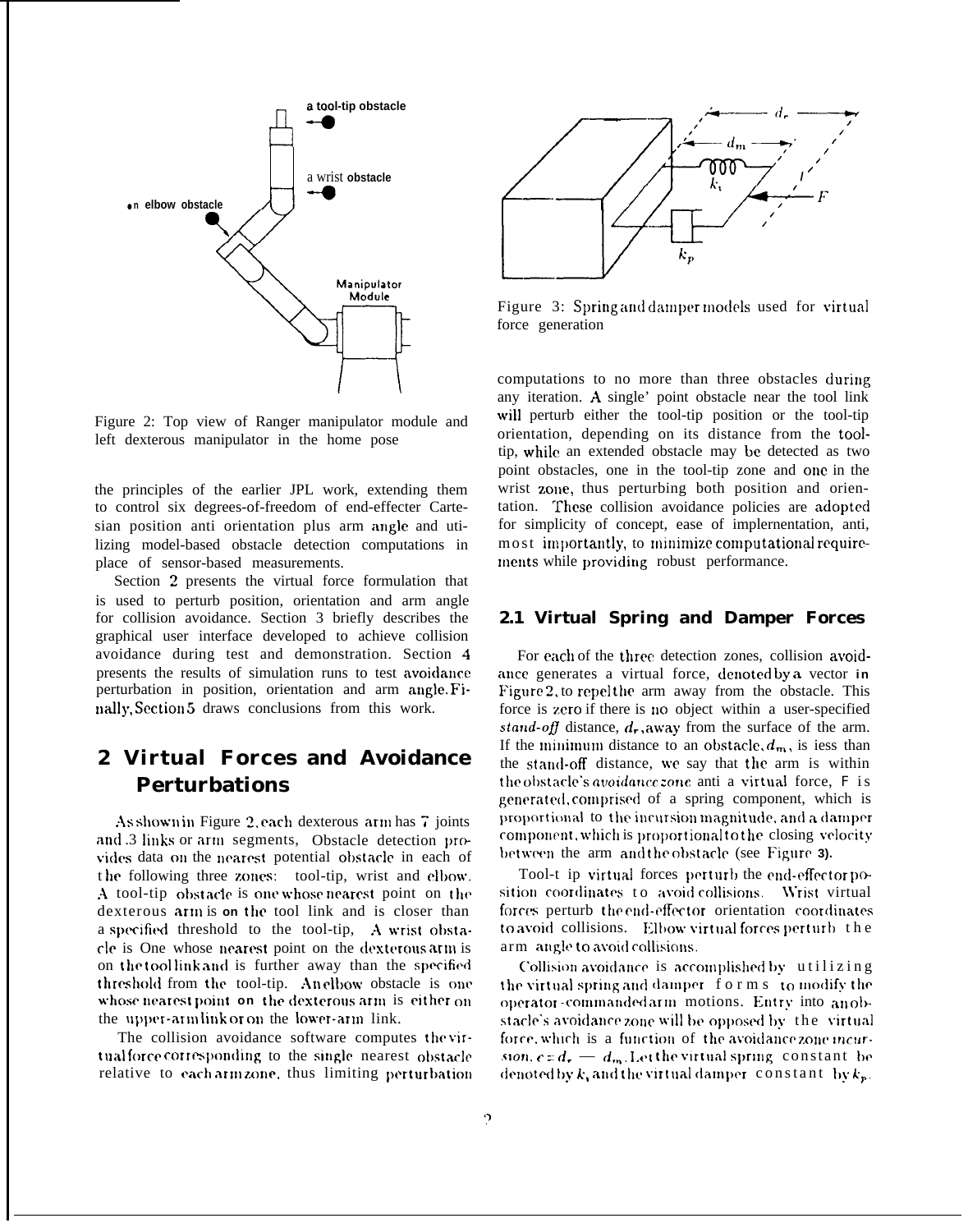

Figure 2: Top view of Ranger manipulator module and left dexterous manipulator in the home pose

the principles of the earlier JPL work, extending them to control six degrees-of-freedom of end-effecter Cartesian position anti orientation plus arm angle and utilizing model-based obstacle detection computations in place of sensor-based measurements.

Section 2 presents the virtual force formulation that is used to perturb position, orientation and arm angle for collision avoidance. Section 3 briefly describes the graphical user interface developed to achieve collision avoidance during test and demonstration. Section 4 presents the results of simulation runs to test avoidance perturbation in position, orientation and arm angle. Finally, Section 5 draws conclusions from this work.

# **2 Virtual Forces and Avoidance Perturbations**

As shown in Figure 2. each dexterous arm has  $7$  joints and .3 links or arm segments, Obstacle detection provides data on the nearest potential obstacle in each of the following three zones: tool-tip, wrist and elbow. A tool-tip obstacle is one whose nearest point on the dexterous arm is on the tool link and is closer than a specified threshold to the tool-tip, A wrist obstacle is One whose nearest point on the dexterous arm is on the tool link and is further away than the specified threshold from the tool-tip. Anelbow obstacle is one whose nearest point on the dexterous arm is either on the upper-arm link or on the lower-arm link.

The collision avoidance software computes the virtual force corresponding to the single nearest obstacle relative to each arm zone, thus limiting perturbation



Figure 3: Spring and damper models used for virtual force generation

computations to no more than three obstacles during any iteration. A single' point obstacle near the tool link will perturb either the tool-tip position or the tool-tip orientation, depending on its distance from the tooltip, while an extended obstacle may be detected as two point obstacles, one in the tool-tip zone and onc in the wrist zone, thus perturbing both position and orientation. These collision avoidance policies are adopted for simplicity of concept, ease of implernentation, anti, most importantly, to minimize computational requirements while providing robust performance.

### **2.1 Virtual Spring and Damper Forces**

For each of the three detection zones, collision avoidance generates a virtual force, denoted by a vector in Figure 2, to repel the arm away from the obstacle. This force is zero if there is no object within a user-specified stand-off distance,  $d_r$ , away from the surface of the arm. If the minimum distance to an obstacle,  $d_m$ , is iess than the stand-off distance, we say that the arm is within the obstacle's avoidance zone anti a virtual force,  $F$  is generated, comprised of a spring component, which is proportional to the incursion magnitude, and a damper component, which is proportional to the closing velocity between the arm and the obstacle (see Figure 3).

Tool-t ip virtual forces perturb the end-effector position coordinates to avoid collisions. Wrist virtual forces perturb the end-effector orientation coordinates to avoid collisions. Elbow virtual forces perturb the arm angle to avoid collisions.

Collision avoidance is accomplished by utilizing the virtual spring and damper forms to modify the operator-commanded arm motions. Entry into an obstacle's avoidance zone will be opposed by the virtual force, which is a function of the avoidance zone incursion,  $c = d_r$  —  $d_m$ . Let the virtual spring constant be denoted by k, and the virtual damper constant  $\{b, k_p\}$ .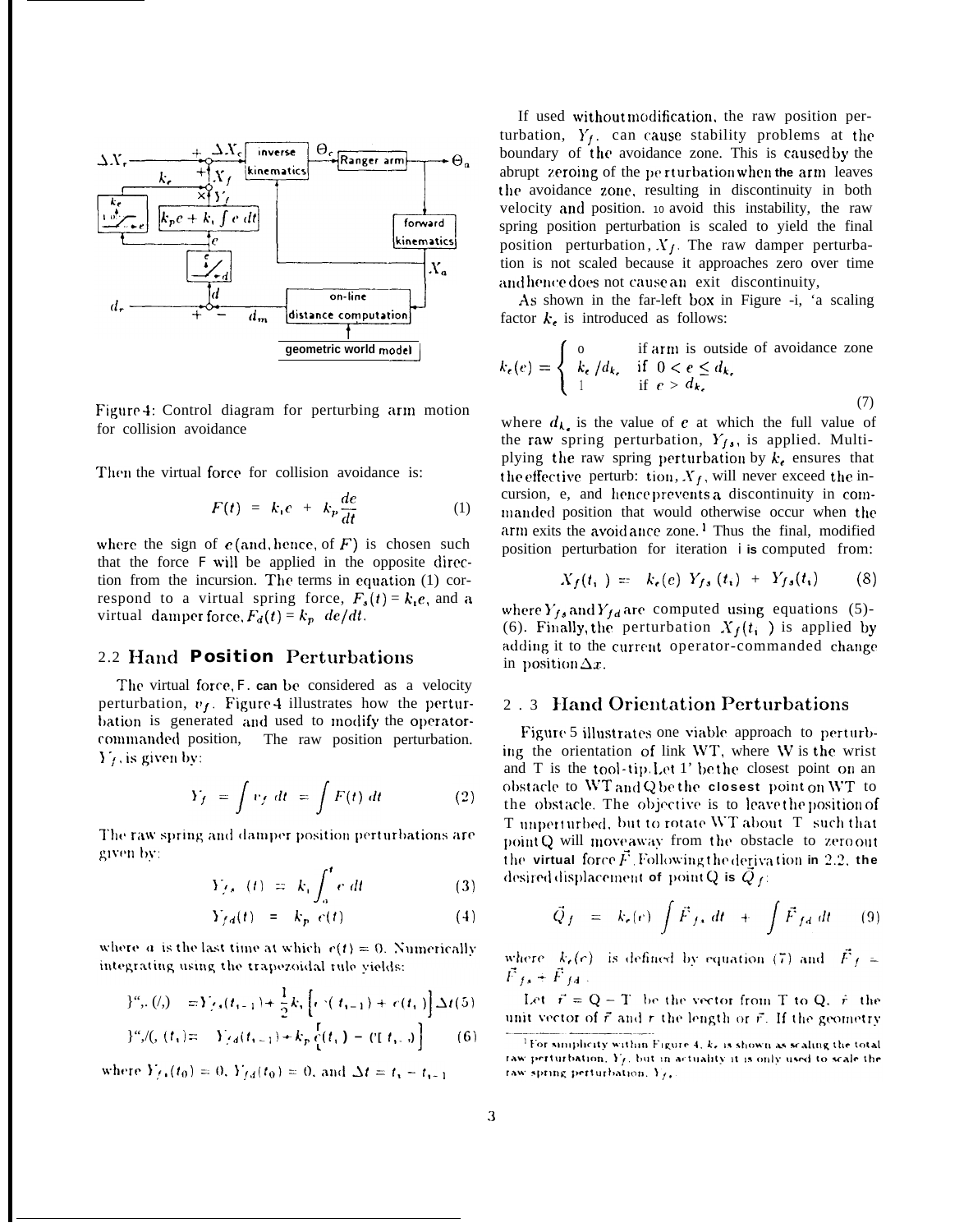

Figure 4: Control diagram for perturbing arm motion for collision avoidance

Then the virtual force for collision avoidance is:

$$
F(t) = k_i e + k_p \frac{de}{dt} \tag{1}
$$

where the sign of  $e$  (and. hence, of  $F$ ) is chosen such that the force  $F$  will be applied in the opposite direction from the incursion. The terms in equation  $(1)$  correspond to a virtual spring force,  $F_s(t) = k_i e$ , and a virtual damper force,  $F_d(t) = k_p \ de/dt$ .

### 2.2 Hand **Position** Perturbations

The virtual force, *F.* can be considered as a velocity perturbation,  $v_f$ . Figure 4 illustrates how the perturbation is generated and used to modify the operatorcmumanded position, The raw position perturbation.  $Y_f$ , is given by:

$$
Y_f = \int v_f \, dt = \int F(t) \, dt \tag{2}
$$

 $\Gamma$  **r**he raw spring and damper position perturbations are given by:

$$
Y_{f,s-}(t) = k_1 \int_a^t e \, dt \tag{3}
$$

$$
Y_{fd}(t) = k_p e(t) \tag{4}
$$

where a is the last time at which  $r(t) = 0$ . Numerically integrating using the trapezoidal rule yields:

$$
f''_{t+1}(t_1) = Y_{t+1}(t_{t-1}) + \frac{1}{2}k_1 \left[ e^{-(t_1 - t_1)} + e(t_1) \right] \Delta t(5)
$$

$$
f''_{\nu} / (f_{\nu}) = -Y_{\nu} f(t_{\nu-1}) + k_p \left[ f(t_{\nu}) - (f(t_{\nu-1})) \right] \tag{6}
$$

where  $Y_{f+}(t_0) = 0$ ,  $Y_{f,d}(t_0) = 0$ , and  $\Delta t = t_1 - t_{1-1}$ 

If used without modification, the raw position perturbation,  $Y_f$ , can cause stability problems at the boundary of the avoidance zone. This is caused by the abrupt zeroing of the perturbation when the arm leaves the avoidance zone. resulting in discontinuity in both velocity and position. 10 avoid this instability, the raw spring position perturbation is scaled to yield the final position perturbation,  $X_f$ . The raw damper perturbation is not scaled because it approaches zero over time and hence does not cause an exit discontinuity,

As shown in the far-left box in Figure -i, 'a scaling factor  $k<sub>t</sub>$  is introduced as follows:

$$
k_{\epsilon}(e) = \begin{cases} 0 & \text{if arm is outside of avoidance zone} \\ k_{\epsilon} / d_{k_{\epsilon}} & \text{if } 0 < e \le d_{k_{\epsilon}} \\ 1 & \text{if } e > d_{k_{\epsilon}} \end{cases} \tag{7}
$$

where  $d_{\mathbf{k}}$  is the value of e at which the full value of the raw spring perturbation,  $Y_{fs}$ , is applied. Multiplying the raw spring perturbation by  $k_e$  ensures that the effective perturb: tion,  $X_f$ , will never exceed the incursion, e, and hence prevents a discontinuity in commanded position that would otherwise occur when the  $arm$  exits the avoid ance zone.<sup>1</sup> Thus the final, modified position perturbation for iteration *i* **is** computed from:

$$
X_f(t_i) = k_e(e) Y_{fs}(t_i) + Y_{fs}(t_i)
$$
 (8)

where  $Y_{fs}$  and  $Y_{fd}$  are computed using equations (5)-(6). Finally, the perturbation  $X_f(t_i)$  is applied by adding it to the current operator-commanded change in position  $\Delta x$ .

### 2.3 Hand Orientation Perturbations

Figure 5 illustrates one viable approach to perturbing the orientation of link \VT, where \V is the wrist and  $T$  is the tool-tip. Let  $1'$  be the closest point on an ol)st[iclc to \VT **aIId Q be the closest** point on JVT to the obstacle. The objective is to leave the position of T unperturbed, but to rotate WT about T such that point Q will move away from the obstacle to zero out **the virtual force**  $\vec{F}$ . Following the derivation in 2.2. the desired displacement of point Q is  $\vec{Q}_{f}$ :

$$
\vec{Q}_f = k_r(e) \int \vec{F}_{fs} dt + \int \vec{F}_{fd} dt \qquad (9)
$$

where  $k_r(c)$  is defined by equation (7) and  $\vec{F}_f =$  $\vec{F}_{fs}+\vec{F}_{fs}$  .

Let  $\vec{r} = Q - T$  be the vector from T to Q.  $\hat{r}$  the unit vector of  $\vec{r}$  and r the length or  $\vec{r}$ . If the geometry

<sup>&</sup>lt;sup>1</sup>For simplicity within Figure 4, k, is shown as scaling the total raw perturbation,  $Y_f$ , but in actuality it is only used to scale the raw spring perturbation, Y<sub>f</sub>,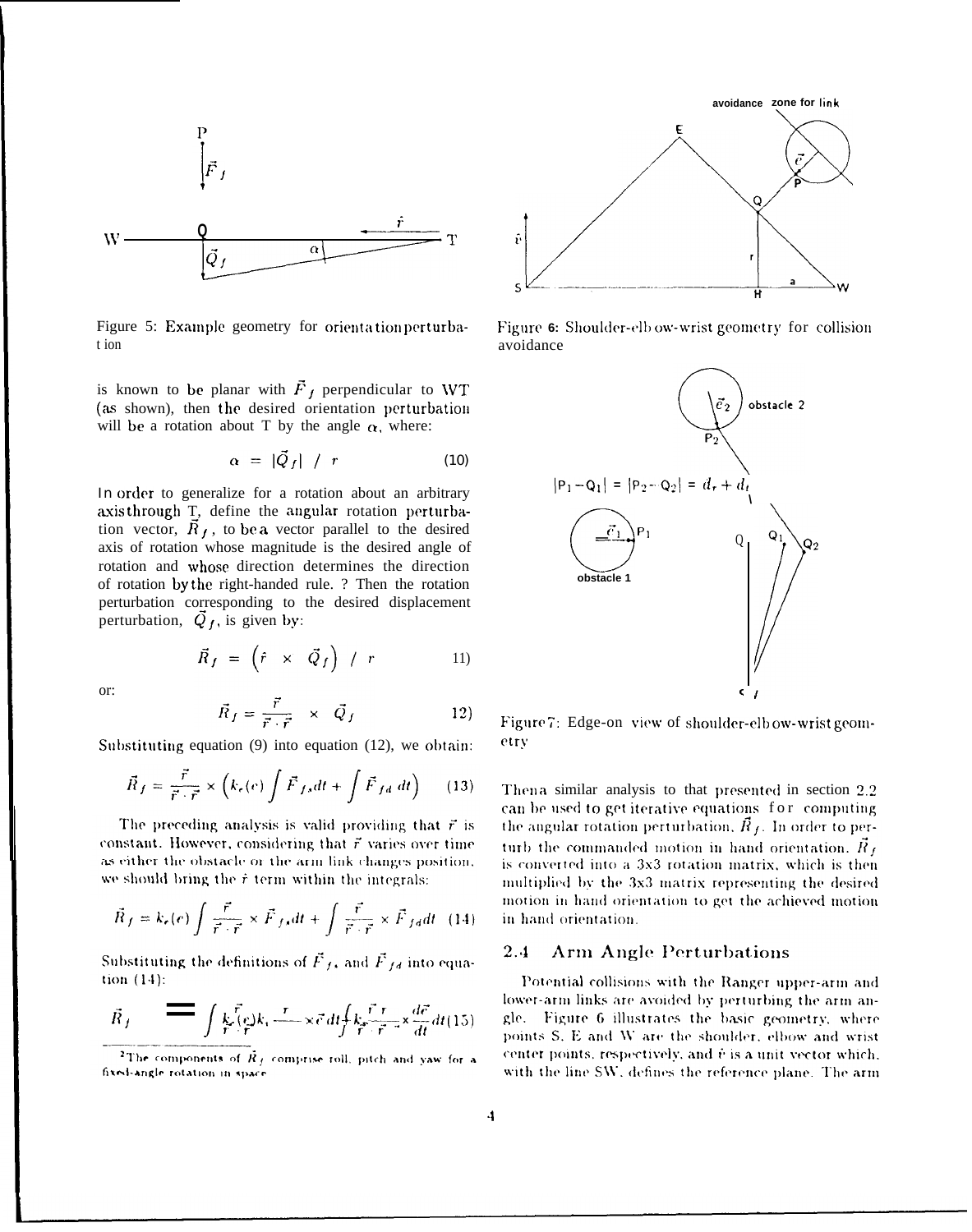

Figure 5: Example geometry for orientation perturbat ion

is known to be planar with  $\vec{F}_f$  perpendicular to WT (as shown), then the desired orientation perturbation will be a rotation about T by the angle  $\alpha$ , where:

$$
\alpha = |\vec{Q}_f| / r \qquad (10)
$$

*In* order to generalize for a rotation about an arbitrary axis through T, define the angular rotation perturbation vector,  $\overrightarrow{R}_f$ , to be a vector parallel to the desired axis of rotation whose magnitude is the desired angle of rotation and whose direction determines the direction of rotation by the right-handed rule. ? Then the rotation perturbation corresponding to the desired displacement perturbation,  $\overrightarrow{Q}_f$ , is given by:

or:

$$
\vec{R}_f = \frac{\vec{r}}{\vec{r} \cdot \vec{r}} \times \vec{Q}_f \tag{12}
$$

Substituting equation  $(9)$  into equation  $(12)$ , we obtain:

 $\vec{R}_f = (\hat{r} \times \vec{Q}_f) / r$ 

$$
\vec{R}_f = \frac{\vec{r}}{\vec{r} \cdot \vec{r}} \times \left( k_\epsilon(e) \int \vec{F}_{fs} dt + \int \vec{F}_{fd} dt \right) \tag{13}
$$

The preceding analysis is valid providing that  $\vec{r}$  is constant. However, considering that  $\vec{r}$  varies over time as either the obstacle or the arm link changes position. we should bring the  $\dot{r}$  term within the integrals:

$$
\vec{R}_f = k_e(e) \int \frac{\vec{r}}{\vec{r} \cdot \vec{r}} \times \vec{F}_{f\ast} dt + \int \frac{\vec{r}}{\vec{r} \cdot \vec{r}} \times \vec{F}_{f\ast} dt \quad (14)
$$

Substituting the definitions of  $\vec{F}_{fs}$  and  $\vec{F}_{fs}$  into equa-

$$
\vec{R}_f = \int \frac{k}{r} \vec{f} \cdot \vec{e}_r \cdot \vec{e}_r d t \int k \vec{f} \cdot \vec{r} \cdot \vec{x} d t \, dt \, (15)
$$



Figure 6: Shoulder-elb ow-wrist geometry for collision avoidance



Figure 7: Edge-on view of shoulder-elb ow-wrist geometry

Then a similar analysis to that presented in section  $2.2$ can be used to get iterative equations for computing the angular rotation perturbation,  $\tilde{R}_f$ . In order to perturb the commanded motion in hand orientation.  $\vec{R}_f$ is converted into a 3x3 rotation matrix, which is then multiplied by the 3x3 matrix representing the desired motion in hand orientation to get the achieved motion in hand orientation.

#### $2.4$ **Arm Angle Perturbations**

Potential collisions with the Ranger upper-arm and lower-arm links are avoided by perturbing the arm angle. Figure 6 illustrates the basic geometry, where points S. E and W are the shoulder, elbow and wrist center points, respectively, and  $\tilde{v}$  is a unit vector which. with the line SW, defines the reference plane. The arm

11)

<sup>&</sup>lt;sup>2</sup>The components of  $\vec{R}_J$  comprise roll, pitch and yaw for a fixed-angle rotation in space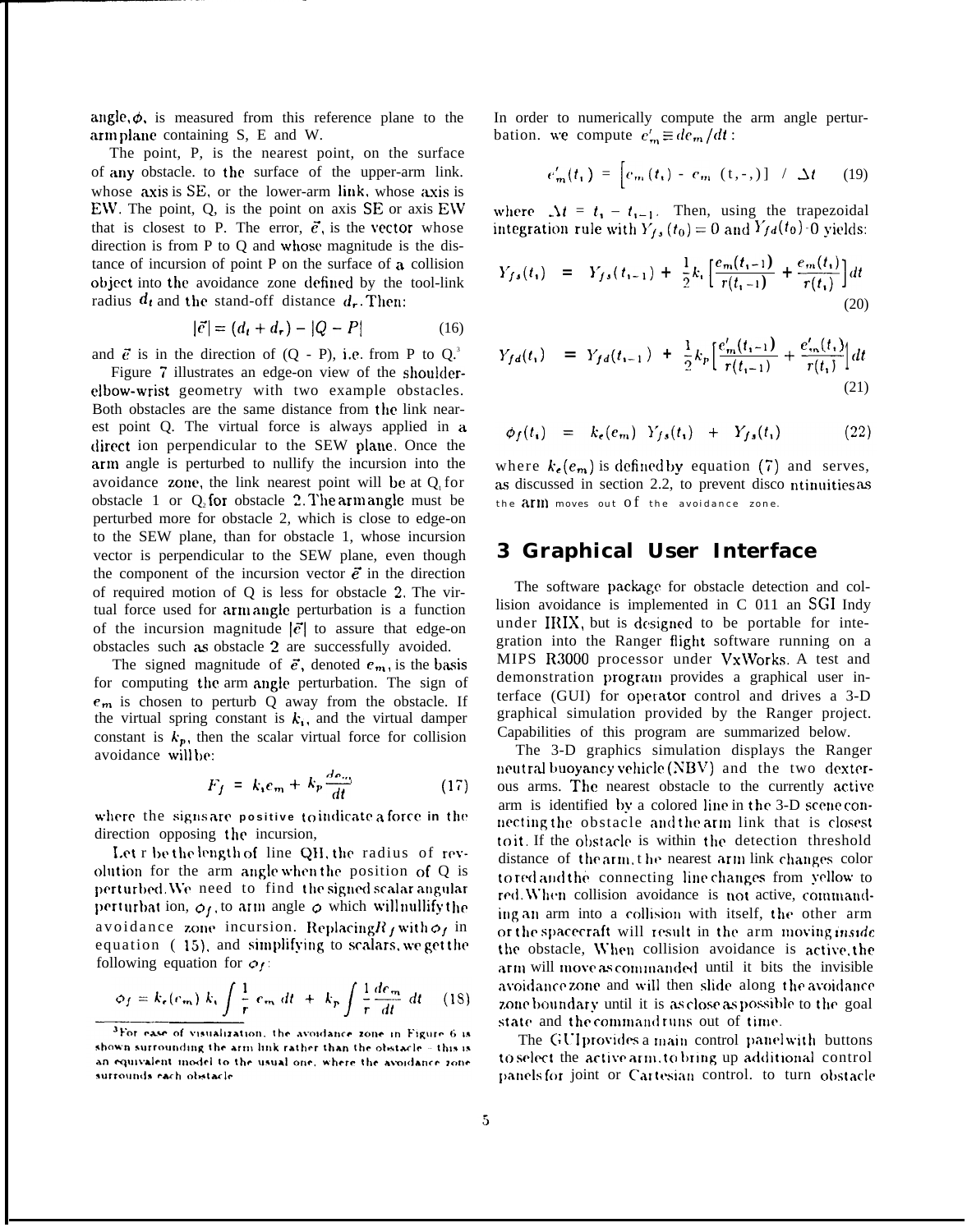angle,  $\phi$ , is measured from this reference plane to the arm plane containing S, E and W.

The point, P, is the nearest point, on the surface of any obstacle. to the surface of the upper-arm link. whose  $axis$  is  $SE$ , or the lower-arm link, whose  $axis$  is EW. The point,  $Q$ , is the point on axis SE or axis EW that is closest to P. The error,  $\vec{e}$ , is the vector whose direction is from P to Q and whose magnitude is the distance of incursion of point P on the surface of a collision object into the avoidance zone defined by the tool-link radius  $d_t$  and the stand-off distance  $d_t$ . Then:

$$
|\vec{e}| = (d_t + d_r) - |Q - P|
$$
 (16)

and  $\vec{e}$  is in the direction of  $(Q - P)$ , i.e. from P to  $Q^3$ .

Figure 7 illustrates an edge-on view of the shouldere]bow-wrist geometry with two example obstacles. Both obstacles are the same distance from the link nearest point Q. The virtual force is always applied in a direct ion perpendicular to the SEW plane. Once the arm angle is perturbed to nullify the incursion into the avoidance zone, the link nearest point will be at  $Q_1$  for obstacle 1 or  $Q_2$  for obstacle 2. The arm angle must be perturbed more for obstacle 2, which is close to edge-on to the SEW plane, than for obstacle 1, whose incursion vector is perpendicular to the SEW plane, even though the component of the incursion vector  $\vec{e}$  in the direction of required motion of Q is less for obstacle 2. The virtual force used for arm angle perturbation is a function of the incursion magnitude  $|\vec{e}|$  to assure that edge-on obstacles such as obstacle 2 are successfully avoided.

The signed magnitude of  $\vec{e}$ , denoted  $e_m$ , is the basis for computing the arm angle perturbation. The sign of  $e_m$  is chosen to perturb Q away from the obstacle. If the virtual spring constant is  $k_i$ , and the virtual damper constant is  $k_p$ , then the scalar virtual force for collision avoidance will be:

$$
F_f = k_i e_m + k_p \frac{de_m}{dt} \tag{17}
$$

where the signs are positive to indicate a force in the direction opposing the incursion,

Let r be the length of line QH, the radius of revolution for the arm angle when the position of  $Q$  is perturbed. We need to find the signed scalar angular perturbat ion,  $\phi_f$ , to arm angle  $\phi$  which will nullify the avoidance zone incursion. Replacing  $R_f$  with  $\phi_f$  in equation  $(15)$ , and simplifying to scalars, we get the following equation for  $\rho_f$ .

$$
\phi_f = k_e(e_m) k_i \int \frac{1}{r} e_m dt + k_p \int \frac{1}{r} \frac{de_m}{dt} dt \quad (18)
$$

In order to numerically compute the arm angle perturbation. we compute  $e'_{m} \equiv de_{m}/dt$ :

$$
e'_{m}(t_{1}) = \left[ e_{m}(t_{1}) - e_{m}(t, -1) \right] / \Delta t \qquad (19)
$$

where  $\Delta t = t_1 - t_{1-1}$ . Then, using the trapezoidal integration rule with  $Y_{fs}(t_0) = 0$  and  $Y_{fd}(t_0)$  o yields:

$$
Y_{fs}(t_1) = Y_{fs}(t_{i-1}) + \frac{1}{2}k_i \left[ \frac{e_m(t_{i-1})}{r(t_{i-1})} + \frac{e_m(t_i)}{r(t_i)} \right] dt
$$
\n(20)

$$
Y_{fd}(t_1) = Y_{fd}(t_{i-1}) + \frac{1}{2}k_p \left[ \frac{e'_{m}(t_{i-1})}{r(t_{i-1})} + \frac{e'_{m}(t_1)}{r(t_1)} \right] dt
$$
\n(21)

$$
\phi_f(t_i) = k_e(e_m) Y_{fs}(t_i) + Y_{fs}(t_i) \qquad (22)
$$

where  $k_{e}(e_{m})$  is defined by equation (7) and serves, as discussed in section 2.2, to prevent disco ntinuities as the  $a$ rm moves out Of the avoidance zone.

### **3 Graphical User Interface**

The software package for obstacle detection and collision avoidance is implemented in C 011 an SGI Indy under IRIX, but is designed to be portable for integration into the Ranger flight software running on a MIPS R3000 processor under Vx\Vorks. A test and demonstration progratn provides a graphical user interface (GUI) for operator control and drives a 3-D graphical simulation provided by the Ranger project. Capabilities of this program are summarized below.

The 3-D graphics simulation displays the Ranger neutral buoyancy vehicle (NBV) and the two dexterous arms. The nearest obstacle to the currently active arm is identified by a colored line in the 3-D scene connecting the obstacle and the arm link that is closest to it. If the obstacle is within the detection threshold distance of the arm, the nearest arm link changes color to red and the connecting line changes from yellow to red. When collision avoidance is not active, commanding an arm into a collision with itself, the other arm or the spacecraft will result in the arm moving inside the obstacle, \Yhen collision avoidance is active, the arm will move as commanded until it bits the invisible avoidance zone and will then slide along the avoidance zone boundary until it is as close as possible to the goal state and the commandruns out of time.

The GUI provides a main control panel with buttons to select the active arm, to bring up additional control panels for joint or Cartesian control. to turn obstacle

<sup>&</sup>lt;sup>3</sup>For ease of visualization, the avoidance zone in Figure 6 is shown surrounding the  $arm$  link rather than the obstacle  $\sim$  this is an equivalent model to the usual one, where the avoidance zone surrounds each obstacle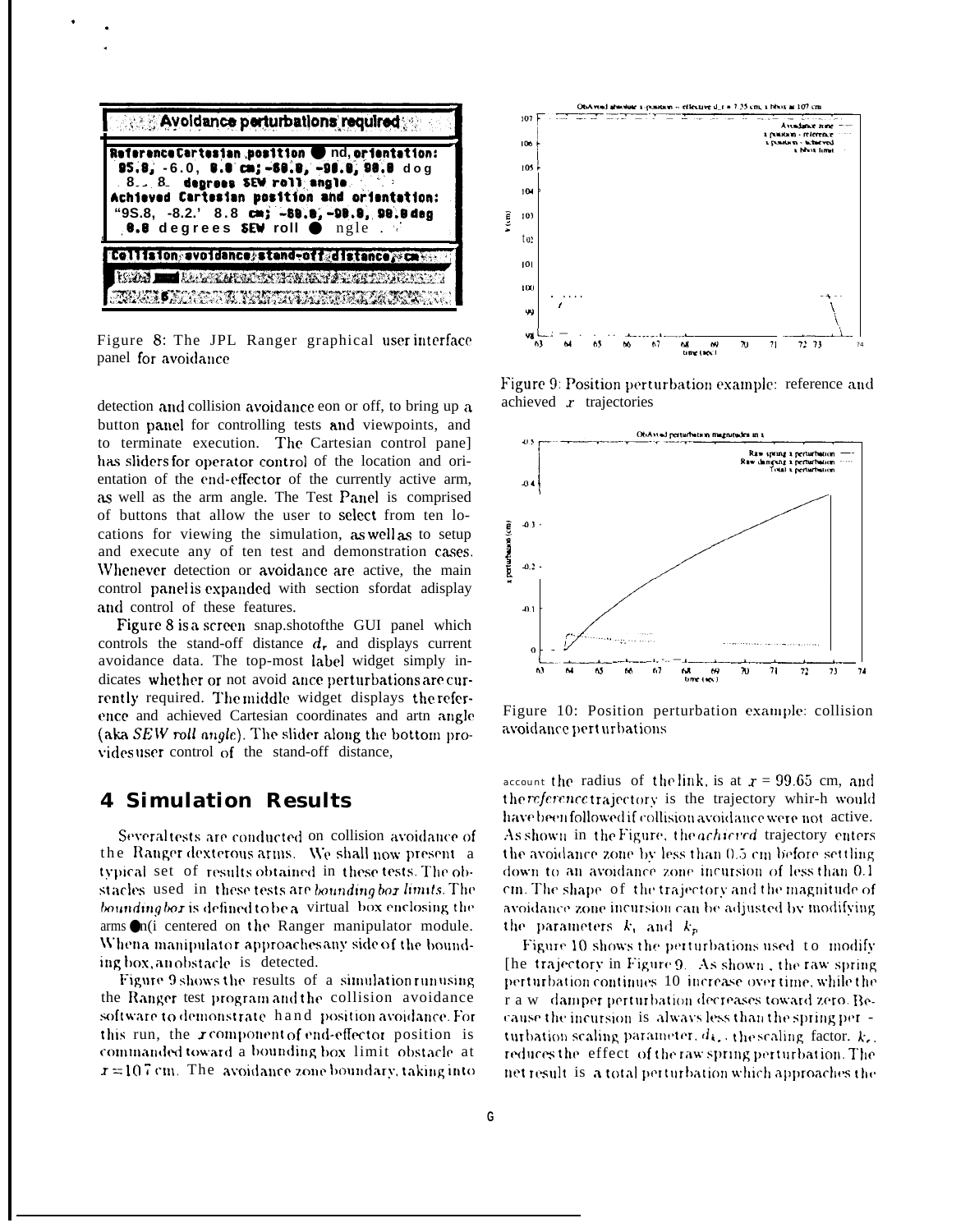

Figure 8: The JPL Ranger graphical user interface panel for avoidance

detection and collision avoidance eon or off, to bring up a button panel for controlling tests and viewpoints, and to terminate execution. The Cartesian control panel has sliders for operator control of the location and orientation of the end-effector of the currently active arm, as well as the arm angle. The Test Panel is comprised of buttons that allow the user to select from ten locations for viewing the simulation, as well as to setup and execute any of ten test and demonstration cases. Whenever detection or avoidance are active, the main control panel is expanded with section sfordat adisplay and control of these features.

Figure 8 is a screen snap.shotofthe GUI panel which controls the stand-off distance  $d_r$  and displays current avoidance data. The top-most label widget simply indicates whether or not avoid ance perturbations are currently required. The middle widget displays the reference and achieved Cartesian coordinates and artn angle (aka  $SEW$  roll angle). The slider along the bottom provides user control of the stand-off distance,

### **4 Simulation Results**

Several tests are conducted on collision avoidance of the Ranger dexterous arms. We shall now present a typical set of results obtained in these tests. The obstacles used in these tests are bounding bor limits. The bounding box is defined to be a virtual box enclosing the  $\sum_{i=1}^{\infty}$  arms  $\sum_{i=1}^{\infty}$  centered on the Ranger manipulator module. When a manipulator approaches any side of the bounding box, an obstacle is detected.

Figure 9 shows the results of a simulation run using the Ranger test program and the collision avoidance software to demonstrate hand position avoidance. For this run, the r component of end-effector position is commanded toward a bounding box limit obstacle at  $r = 10.7$  cm. The avoidance zone boundary, taking into



Figure 9: Position perturbation example: reference and achieved  $r$  trajectories



Figure 10: Position perturbation example: collision avoidance pert urbations

account the radius of the link, is at  $x = 99.65$  cm, and the reference trajectory is the trajectory whir-h would have been followed if collision avoidance were not active. As shown in the Figure, the *achieved* trajectory enters the avoidance zone by less than 0.5 cm before settling down to an avoidance zone incursion of less than 0.1 cm. The shape of the trajectory and the magnitude of avoidance zone incursion can be adjusted by modifying the parameters  $k_i$  and  $k_p$ 

Figure 10 shows the perturbations used to modify [he trajectory in Figure 9. As shown, the raw spring perturbation continues 10 increase over time, while the r a w damper perturbation decreases toward zero. Because the incursion is always less than the spring per turbation scaling parameter,  $d_k$ , the scaling factor,  $k_k$ , reduces the effect of the raw spring perturbation. The net result is a total perturbation which approaches the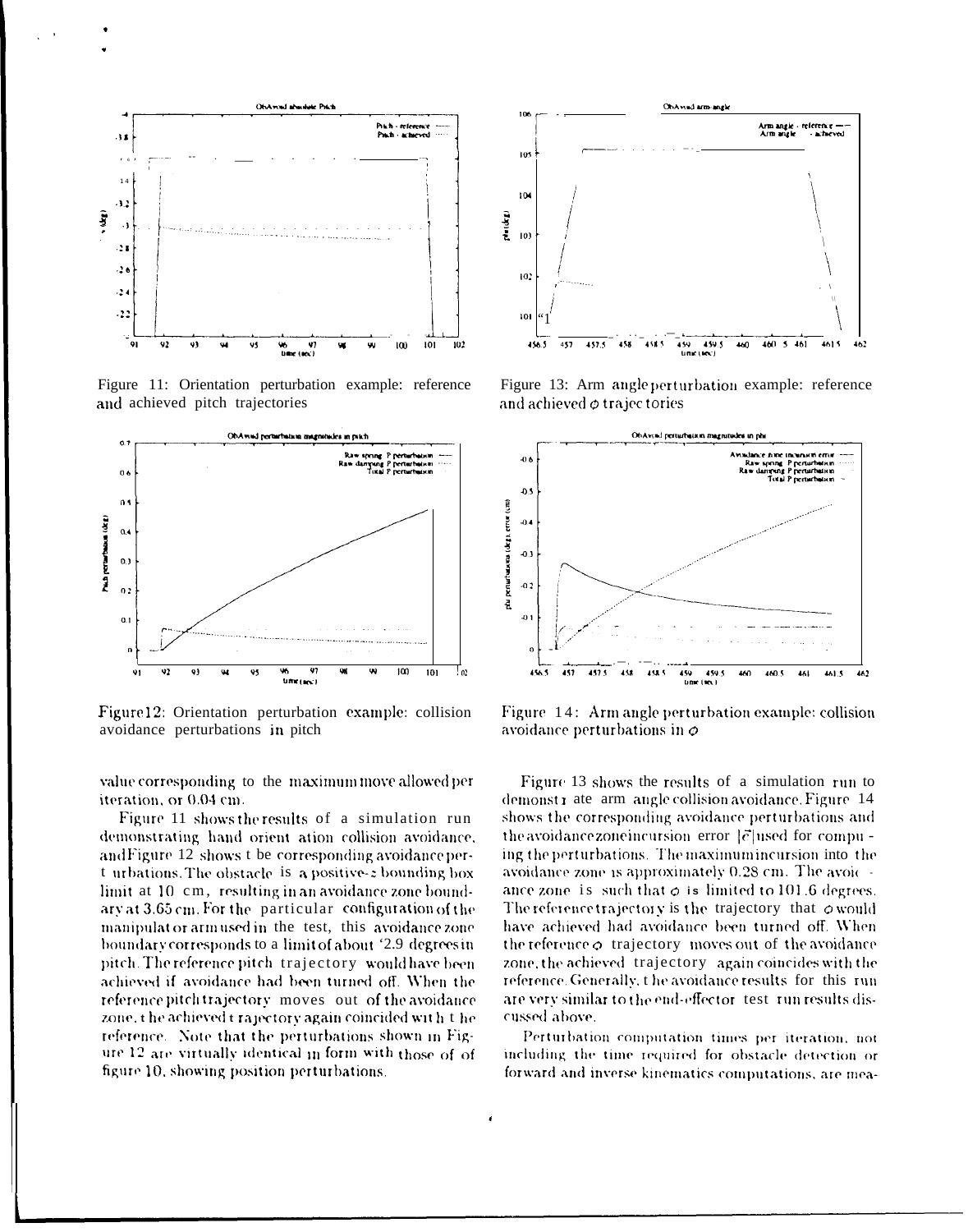

Figure 11: Orientation perturbation example: reference and achieved pitch trajectories



Figure 12: Orientation perturbation example: collision avoidance perturbations in pitch

value corresponding to the maximum move allowed per iteration, or 0.04 cm.

Figure 11 shows the results of a simulation run demonstrating hand orient ation collision avoidance. and Figure 12 shows t be corresponding avoidance pert urbations. The obstacle is a positive-z bounding box limit at 10 cm, resulting in an avoidance zone boundary at 3.65 cm. For the particular configuration of the manipulat or armused in the test, this avoidance zone boundary corresponds to a limit of about '2.9 degrees in pitch. The reference pitch trajectory would have been achieved if avoidance had been turned off. When the reference pitch trajectory moves out of the avoidance zone, the achieved trajectory again coincided with the reference. Note that the perturbations shown in Figure 12 are virtually identical in form with those of of figure 10, showing position perturbations.



Figure 13: Arm angle perturbation example: reference and achieved  $\phi$  trajec tories



Figure 14: Arm angle perturbation example: collision avoidance perturbations in  $\phi$ 

Figure 13 shows the results of a simulation run to demonstrate arm angle collision avoidance. Figure 14 shows the corresponding avoidance perturbations and the avoidance zone incursion error  $|\vec{c}|$  used for compuing the perturbations. The maximum incursion into the avoidance zone is approximately 0.28 cm. The avoic ance zone is such that  $\phi$  is limited to 101.6 degrees. The reference trajectory is the trajectory that  $\phi$  would have achieved had avoidance been turned off. When the reference  $\phi$  trajectory moves out of the avoidance zone, the achieved trajectory again coincides with the reference. Generally, the avoidance results for this run are very similar to the end-effector test run results discussed above.

Perturbation computation times per iteration, not including the time required for obstacle detection or forward and inverse kinematics computations, are mea